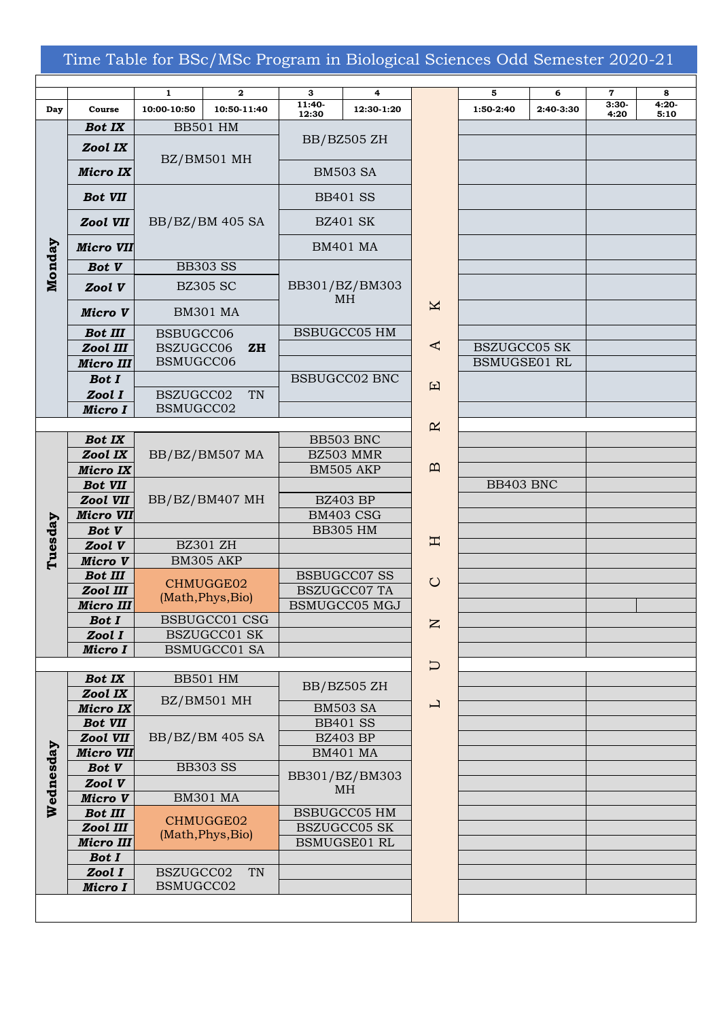## Time Table for BSc/MSc Program in Biological Sciences Odd Semester 2020-21

|           |                              | $\mathbf{1}$                   | $\mathbf 2$     | 3                                               | 4                    |              | 5                                          | 6           | $\mathbf 7$ |
|-----------|------------------------------|--------------------------------|-----------------|-------------------------------------------------|----------------------|--------------|--------------------------------------------|-------------|-------------|
| Day       | Course                       | 10:00-10:50                    | 10:50-11:40     | 11:40-                                          | 12:30-1:20           |              | 1:50-2:40                                  | $2:40-3:30$ | $3:30-$     |
| Monday    | <b>Bot IX</b>                |                                | <b>BB501 HM</b> | 12:30                                           |                      |              |                                            |             | 4:20        |
|           | Zool IX                      | BZ/BM501 MH                    |                 | BB/BZ505 ZH                                     |                      |              |                                            |             |             |
|           | <b>Micro IX</b>              |                                |                 | <b>BM503 SA</b>                                 |                      |              |                                            |             |             |
|           | <b>Bot VII</b>               | BB/BZ/BM 405 SA                |                 | <b>BB401 SS</b>                                 |                      |              |                                            |             |             |
|           | Zool VII                     |                                |                 | <b>BZ401 SK</b>                                 |                      |              |                                            |             |             |
|           | <b>Micro VII</b>             |                                |                 | <b>BM401 MA</b>                                 |                      |              |                                            |             |             |
|           | <b>Bot V</b>                 | <b>BB303 SS</b>                |                 |                                                 |                      |              |                                            |             |             |
|           | Zool V                       | <b>BZ305 SC</b>                |                 | BB301/BZ/BM303<br><b>MH</b>                     |                      |              |                                            |             |             |
|           | Micro V                      | <b>BM301 MA</b>                |                 |                                                 |                      | K            |                                            |             |             |
|           | <b>Bot III</b>               | BSBUGCC06                      |                 |                                                 | <b>BSBUGCC05 HM</b>  |              |                                            |             |             |
|           | Zool III                     | BSZUGCC06<br>ZH                |                 |                                                 |                      | ⋖            | <b>BSZUGCC05 SK</b><br><b>BSMUGSE01 RL</b> |             |             |
|           | <b>Micro III</b>             | BSMUGCC06                      |                 |                                                 |                      |              |                                            |             |             |
|           | <b>Bot I</b>                 |                                |                 | <b>BSBUGCC02 BNC</b>                            |                      | 口            |                                            |             |             |
|           | Zool I                       | BSZUGCC02<br>TN                |                 |                                                 |                      |              |                                            |             |             |
|           | Micro I                      | BSMUGCC02                      |                 |                                                 |                      |              |                                            |             |             |
|           |                              | BB/BZ/BM507 MA                 |                 |                                                 |                      | $\mathbf R$  |                                            |             |             |
|           | <b>Bot IX</b>                |                                |                 |                                                 | BB503 BNC            |              |                                            |             |             |
|           | Zool IX                      |                                |                 |                                                 | BZ503 MMR            | $\mathbf{p}$ |                                            |             |             |
|           | <b>Micro IX</b>              | BB/BZ/BM407 MH                 |                 |                                                 | BM505 AKP            |              |                                            |             |             |
|           | <b>Bot VII</b>               |                                |                 | <b>BZ403 BP</b><br>BM403 CSG<br><b>BB305 HM</b> |                      |              | BB403 BNC                                  |             |             |
|           | Zool VII<br><b>Micro VII</b> |                                |                 |                                                 |                      |              |                                            |             |             |
|           |                              |                                |                 |                                                 |                      |              |                                            |             |             |
|           | <b>Bot V</b><br>Zool V       | <b>BZ301 ZH</b>                |                 |                                                 |                      | Η            |                                            |             |             |
| Tuesday   | Micro V                      | BM305 AKP                      |                 |                                                 |                      |              |                                            |             |             |
|           | <b>Bot III</b>               | CHMUGGE02<br>(Math, Phys, Bio) |                 |                                                 | <b>BSBUGCC07 SS</b>  |              |                                            |             |             |
|           | Zool III                     |                                |                 |                                                 | <b>BSZUGCC07 TA</b>  | $\bigcirc$   |                                            |             |             |
|           | <b>Micro III</b>             |                                |                 |                                                 | <b>BSMUGCC05 MGJ</b> |              |                                            |             |             |
|           | <b>Bot I</b>                 | BSBUGCC01 CSG                  |                 |                                                 |                      |              |                                            |             |             |
|           | Zool I                       | <b>BSZUGCC01 SK</b>            |                 |                                                 |                      | z            |                                            |             |             |
|           | Micro I                      | <b>BSMUGCC01 SA</b>            |                 |                                                 |                      |              |                                            |             |             |
|           |                              |                                |                 |                                                 |                      | $\Box$       |                                            |             |             |
|           | <b>Bot IX</b>                |                                | <b>BB501 HM</b> |                                                 |                      |              |                                            |             |             |
|           | Zool IX                      | BZ/BM501 MH                    |                 | BB/BZ505 ZH                                     |                      |              |                                            |             |             |
|           | Micro IX                     |                                |                 |                                                 | <b>BM503 SA</b>      | 凵            |                                            |             |             |
|           | <b>Bot VII</b>               |                                |                 |                                                 | <b>BB401 SS</b>      |              |                                            |             |             |
|           | Zool VII                     | BB/BZ/BM 405 SA                |                 |                                                 | <b>BZ403 BP</b>      |              |                                            |             |             |
|           | <b>Micro VII</b>             |                                |                 |                                                 | <b>BM401 MA</b>      |              |                                            |             |             |
|           | <b>Bot V</b>                 | <b>BB303 SS</b>                |                 | BB301/BZ/BM303<br>MH                            |                      |              |                                            |             |             |
|           | Zool V                       |                                |                 |                                                 |                      |              |                                            |             |             |
| Wednesday | Micro V                      | <b>BM301 MA</b>                |                 |                                                 |                      |              |                                            |             |             |
|           | <b>Bot III</b>               | CHMUGGE02<br>(Math, Phys, Bio) |                 |                                                 | <b>BSBUGCC05 HM</b>  |              |                                            |             |             |
|           | Zool III                     |                                |                 |                                                 | <b>BSZUGCC05 SK</b>  |              |                                            |             |             |
|           | <b>Micro III</b>             |                                |                 |                                                 | <b>BSMUGSE01 RL</b>  |              |                                            |             |             |
|           | <b>Bot I</b><br>Zool I       | BSZUGCC02                      | TN              |                                                 |                      |              |                                            |             |             |
|           | Micro I                      | BSMUGCC02                      |                 |                                                 |                      |              |                                            |             |             |
|           |                              |                                |                 |                                                 |                      |              |                                            |             |             |
|           |                              |                                |                 |                                                 |                      |              |                                            |             |             |

| 5                   | 6         | $\mathbf 7$     | 8<br>$4:20-$ |
|---------------------|-----------|-----------------|--------------|
| 1:50-2:40           | 2:40-3:30 | $3:30-$<br>4:20 | 5:10         |
|                     |           |                 |              |
|                     |           |                 |              |
|                     |           |                 |              |
|                     |           |                 |              |
|                     |           |                 |              |
|                     |           |                 |              |
|                     |           |                 |              |
|                     |           |                 |              |
|                     |           |                 |              |
|                     |           |                 |              |
|                     |           |                 |              |
|                     |           |                 |              |
|                     |           |                 |              |
|                     |           |                 |              |
|                     |           |                 |              |
|                     |           |                 |              |
|                     |           |                 |              |
|                     |           |                 |              |
|                     |           |                 |              |
| BSZUGCC05 SK        |           |                 |              |
| <b>BSMUGSE01 RL</b> |           |                 |              |
|                     |           |                 |              |
|                     |           |                 |              |
|                     |           |                 |              |
|                     |           |                 |              |
|                     |           |                 |              |
|                     |           |                 |              |
|                     |           |                 |              |
|                     |           |                 |              |
|                     |           |                 |              |
| BB403 BNC           |           |                 |              |
|                     |           |                 |              |
|                     |           |                 |              |
|                     |           |                 |              |
|                     |           |                 |              |
|                     |           |                 |              |
|                     |           |                 |              |
|                     |           |                 |              |
|                     |           |                 |              |
|                     |           |                 |              |
|                     |           |                 |              |
|                     |           |                 |              |
|                     |           |                 |              |
|                     |           |                 |              |
|                     |           |                 |              |
|                     |           |                 |              |
|                     |           |                 |              |
|                     |           |                 |              |
|                     |           |                 |              |
|                     |           |                 |              |
|                     |           |                 |              |
|                     |           |                 |              |
|                     |           |                 |              |
|                     |           |                 |              |
|                     |           |                 |              |
|                     |           |                 |              |
|                     |           |                 |              |
|                     |           |                 |              |
|                     |           |                 |              |
|                     |           |                 |              |
|                     |           |                 |              |
|                     |           |                 |              |
|                     |           |                 |              |
|                     |           |                 |              |
|                     |           |                 |              |
|                     |           |                 |              |
|                     |           |                 |              |